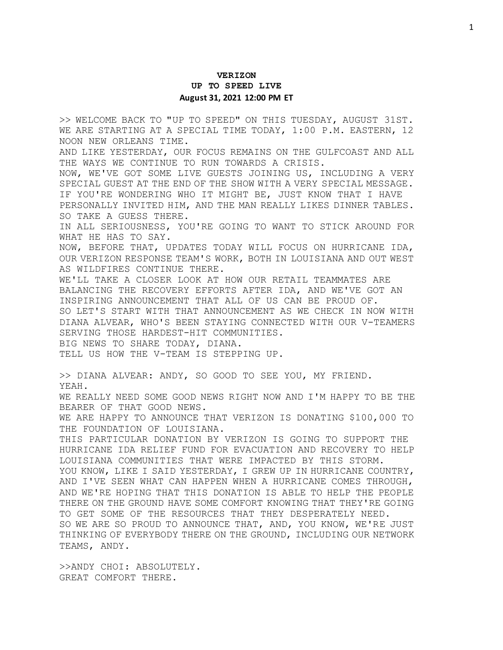## **VERIZON UP TO SPEED LIVE August 31, 2021 12:00 PM ET**

>> WELCOME BACK TO "UP TO SPEED" ON THIS TUESDAY, AUGUST 31ST. WE ARE STARTING AT A SPECIAL TIME TODAY, 1:00 P.M. EASTERN, 12 NOON NEW ORLEANS TIME.

AND LIKE YESTERDAY, OUR FOCUS REMAINS ON THE GULFCOAST AND ALL THE WAYS WE CONTINUE TO RUN TOWARDS A CRISIS.

NOW, WE'VE GOT SOME LIVE GUESTS JOINING US, INCLUDING A VERY SPECIAL GUEST AT THE END OF THE SHOW WITH A VERY SPECIAL MESSAGE. IF YOU'RE WONDERING WHO IT MIGHT BE, JUST KNOW THAT I HAVE PERSONALLY INVITED HIM, AND THE MAN REALLY LIKES DINNER TABLES. SO TAKE A GUESS THERE.

IN ALL SERIOUSNESS, YOU'RE GOING TO WANT TO STICK AROUND FOR WHAT HE HAS TO SAY.

NOW, BEFORE THAT, UPDATES TODAY WILL FOCUS ON HURRICANE IDA, OUR VERIZON RESPONSE TEAM'S WORK, BOTH IN LOUISIANA AND OUT WEST AS WILDFIRES CONTINUE THERE.

WE'LL TAKE A CLOSER LOOK AT HOW OUR RETAIL TEAMMATES ARE BALANCING THE RECOVERY EFFORTS AFTER IDA, AND WE'VE GOT AN INSPIRING ANNOUNCEMENT THAT ALL OF US CAN BE PROUD OF. SO LET'S START WITH THAT ANNOUNCEMENT AS WE CHECK IN NOW WITH DIANA ALVEAR, WHO'S BEEN STAYING CONNECTED WITH OUR V-TEAMERS SERVING THOSE HARDEST-HIT COMMUNITIES. BIG NEWS TO SHARE TODAY, DIANA.

TELL US HOW THE V-TEAM IS STEPPING UP.

>> DIANA ALVEAR: ANDY, SO GOOD TO SEE YOU, MY FRIEND.

YEAH.

WE REALLY NEED SOME GOOD NEWS RIGHT NOW AND I'M HAPPY TO BE THE BEARER OF THAT GOOD NEWS.

WE ARE HAPPY TO ANNOUNCE THAT VERIZON IS DONATING \$100,000 TO THE FOUNDATION OF LOUISIANA.

THIS PARTICULAR DONATION BY VERIZON IS GOING TO SUPPORT THE HURRICANE IDA RELIEF FUND FOR EVACUATION AND RECOVERY TO HELP LOUISIANA COMMUNITIES THAT WERE IMPACTED BY THIS STORM.

YOU KNOW, LIKE I SAID YESTERDAY, I GREW UP IN HURRICANE COUNTRY, AND I'VE SEEN WHAT CAN HAPPEN WHEN A HURRICANE COMES THROUGH, AND WE'RE HOPING THAT THIS DONATION IS ABLE TO HELP THE PEOPLE THERE ON THE GROUND HAVE SOME COMFORT KNOWING THAT THEY'RE GOING TO GET SOME OF THE RESOURCES THAT THEY DESPERATELY NEED.

SO WE ARE SO PROUD TO ANNOUNCE THAT, AND, YOU KNOW, WE'RE JUST THINKING OF EVERYBODY THERE ON THE GROUND, INCLUDING OUR NETWORK TEAMS, ANDY.

>>ANDY CHOI: ABSOLUTELY. GREAT COMFORT THERE.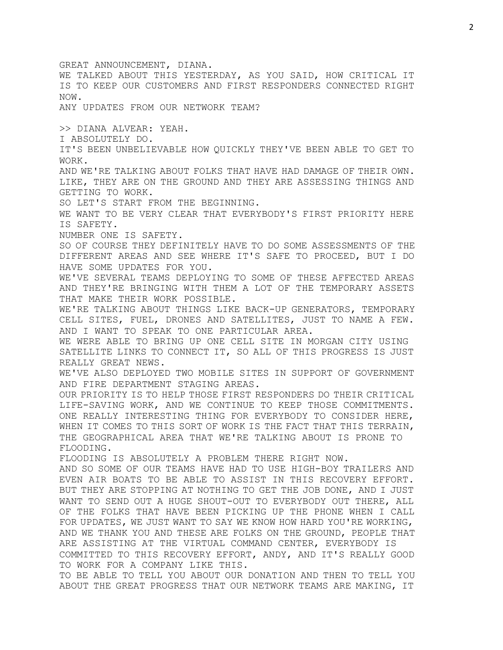GREAT ANNOUNCEMENT, DIANA. WE TALKED ABOUT THIS YESTERDAY, AS YOU SAID, HOW CRITICAL IT IS TO KEEP OUR CUSTOMERS AND FIRST RESPONDERS CONNECTED RIGHT NOW. ANY UPDATES FROM OUR NETWORK TEAM? >> DIANA ALVEAR: YEAH. I ABSOLUTELY DO. IT'S BEEN UNBELIEVABLE HOW QUICKLY THEY'VE BEEN ABLE TO GET TO WORK. AND WE'RE TALKING ABOUT FOLKS THAT HAVE HAD DAMAGE OF THEIR OWN. LIKE, THEY ARE ON THE GROUND AND THEY ARE ASSESSING THINGS AND GETTING TO WORK. SO LET'S START FROM THE BEGINNING. WE WANT TO BE VERY CLEAR THAT EVERYBODY'S FIRST PRIORITY HERE IS SAFETY. NUMBER ONE IS SAFETY. SO OF COURSE THEY DEFINITELY HAVE TO DO SOME ASSESSMENTS OF THE DIFFERENT AREAS AND SEE WHERE IT'S SAFE TO PROCEED, BUT I DO HAVE SOME UPDATES FOR YOU. WE'VE SEVERAL TEAMS DEPLOYING TO SOME OF THESE AFFECTED AREAS AND THEY'RE BRINGING WITH THEM A LOT OF THE TEMPORARY ASSETS THAT MAKE THEIR WORK POSSIBLE. WE'RE TALKING ABOUT THINGS LIKE BACK-UP GENERATORS, TEMPORARY CELL SITES, FUEL, DRONES AND SATELLITES, JUST TO NAME A FEW. AND I WANT TO SPEAK TO ONE PARTICULAR AREA. WE WERE ABLE TO BRING UP ONE CELL SITE IN MORGAN CITY USING SATELLITE LINKS TO CONNECT IT, SO ALL OF THIS PROGRESS IS JUST REALLY GREAT NEWS. WE'VE ALSO DEPLOYED TWO MOBILE SITES IN SUPPORT OF GOVERNMENT AND FIRE DEPARTMENT STAGING AREAS. OUR PRIORITY IS TO HELP THOSE FIRST RESPONDERS DO THEIR CRITICAL LIFE-SAVING WORK, AND WE CONTINUE TO KEEP THOSE COMMITMENTS. ONE REALLY INTERESTING THING FOR EVERYBODY TO CONSIDER HERE, WHEN IT COMES TO THIS SORT OF WORK IS THE FACT THAT THIS TERRAIN, THE GEOGRAPHICAL AREA THAT WE'RE TALKING ABOUT IS PRONE TO FLOODING. FLOODING IS ABSOLUTELY A PROBLEM THERE RIGHT NOW. AND SO SOME OF OUR TEAMS HAVE HAD TO USE HIGH-BOY TRAILERS AND EVEN AIR BOATS TO BE ABLE TO ASSIST IN THIS RECOVERY EFFORT. BUT THEY ARE STOPPING AT NOTHING TO GET THE JOB DONE, AND I JUST WANT TO SEND OUT A HUGE SHOUT-OUT TO EVERYBODY OUT THERE, ALL OF THE FOLKS THAT HAVE BEEN PICKING UP THE PHONE WHEN I CALL FOR UPDATES, WE JUST WANT TO SAY WE KNOW HOW HARD YOU'RE WORKING, AND WE THANK YOU AND THESE ARE FOLKS ON THE GROUND, PEOPLE THAT ARE ASSISTING AT THE VIRTUAL COMMAND CENTER, EVERYBODY IS COMMITTED TO THIS RECOVERY EFFORT, ANDY, AND IT'S REALLY GOOD TO WORK FOR A COMPANY LIKE THIS. TO BE ABLE TO TELL YOU ABOUT OUR DONATION AND THEN TO TELL YOU ABOUT THE GREAT PROGRESS THAT OUR NETWORK TEAMS ARE MAKING, IT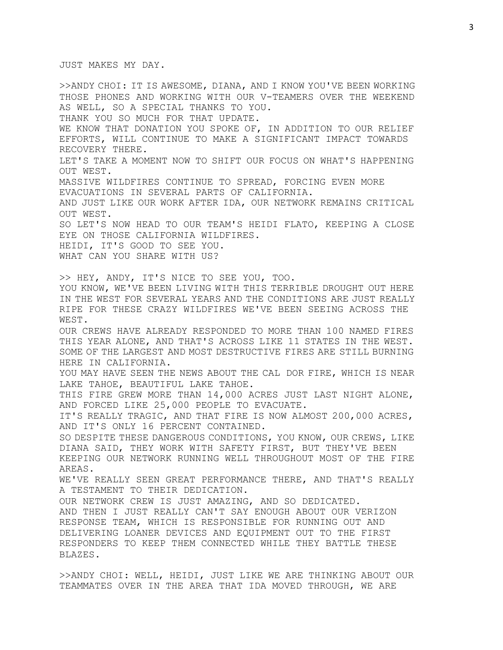JUST MAKES MY DAY.

>>ANDY CHOI: IT IS AWESOME, DIANA, AND I KNOW YOU'VE BEEN WORKING THOSE PHONES AND WORKING WITH OUR V-TEAMERS OVER THE WEEKEND AS WELL, SO A SPECIAL THANKS TO YOU. THANK YOU SO MUCH FOR THAT UPDATE. WE KNOW THAT DONATION YOU SPOKE OF, IN ADDITION TO OUR RELIEF EFFORTS, WILL CONTINUE TO MAKE A SIGNIFICANT IMPACT TOWARDS RECOVERY THERE. LET'S TAKE A MOMENT NOW TO SHIFT OUR FOCUS ON WHAT'S HAPPENING OUT WEST. MASSIVE WILDFIRES CONTINUE TO SPREAD, FORCING EVEN MORE EVACUATIONS IN SEVERAL PARTS OF CALIFORNIA. AND JUST LIKE OUR WORK AFTER IDA, OUR NETWORK REMAINS CRITICAL OUT WEST. SO LET'S NOW HEAD TO OUR TEAM'S HEIDI FLATO, KEEPING A CLOSE EYE ON THOSE CALIFORNIA WILDFIRES. HEIDI, IT'S GOOD TO SEE YOU. WHAT CAN YOU SHARE WITH US? >> HEY, ANDY, IT'S NICE TO SEE YOU, TOO. YOU KNOW, WE'VE BEEN LIVING WITH THIS TERRIBLE DROUGHT OUT HERE IN THE WEST FOR SEVERAL YEARS AND THE CONDITIONS ARE JUST REALLY RIPE FOR THESE CRAZY WILDFIRES WE'VE BEEN SEEING ACROSS THE WEST. OUR CREWS HAVE ALREADY RESPONDED TO MORE THAN 100 NAMED FIRES THIS YEAR ALONE, AND THAT'S ACROSS LIKE 11 STATES IN THE WEST. SOME OF THE LARGEST AND MOST DESTRUCTIVE FIRES ARE STILL BURNING HERE IN CALIFORNIA. YOU MAY HAVE SEEN THE NEWS ABOUT THE CAL DOR FIRE, WHICH IS NEAR LAKE TAHOE, BEAUTIFUL LAKE TAHOE. THIS FIRE GREW MORE THAN 14,000 ACRES JUST LAST NIGHT ALONE, AND FORCED LIKE 25,000 PEOPLE TO EVACUATE. IT'S REALLY TRAGIC, AND THAT FIRE IS NOW ALMOST 200,000 ACRES, AND IT'S ONLY 16 PERCENT CONTAINED. SO DESPITE THESE DANGEROUS CONDITIONS, YOU KNOW, OUR CREWS, LIKE DIANA SAID, THEY WORK WITH SAFETY FIRST, BUT THEY'VE BEEN KEEPING OUR NETWORK RUNNING WELL THROUGHOUT MOST OF THE FIRE AREAS. WE'VE REALLY SEEN GREAT PERFORMANCE THERE, AND THAT'S REALLY A TESTAMENT TO THEIR DEDICATION. OUR NETWORK CREW IS JUST AMAZING, AND SO DEDICATED. AND THEN I JUST REALLY CAN'T SAY ENOUGH ABOUT OUR VERIZON RESPONSE TEAM, WHICH IS RESPONSIBLE FOR RUNNING OUT AND DELIVERING LOANER DEVICES AND EQUIPMENT OUT TO THE FIRST RESPONDERS TO KEEP THEM CONNECTED WHILE THEY BATTLE THESE BLAZES.

>>ANDY CHOI: WELL, HEIDI, JUST LIKE WE ARE THINKING ABOUT OUR TEAMMATES OVER IN THE AREA THAT IDA MOVED THROUGH, WE ARE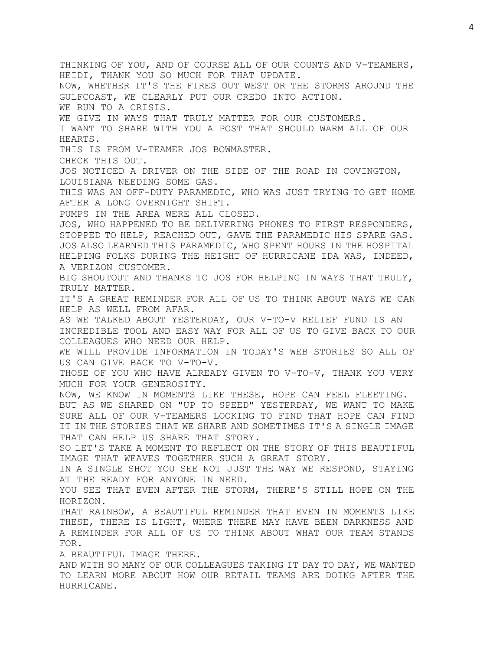THINKING OF YOU, AND OF COURSE ALL OF OUR COUNTS AND V-TEAMERS, HEIDI, THANK YOU SO MUCH FOR THAT UPDATE. NOW, WHETHER IT'S THE FIRES OUT WEST OR THE STORMS AROUND THE GULFCOAST, WE CLEARLY PUT OUR CREDO INTO ACTION. WE RUN TO A CRISIS. WE GIVE IN WAYS THAT TRULY MATTER FOR OUR CUSTOMERS. I WANT TO SHARE WITH YOU A POST THAT SHOULD WARM ALL OF OUR HEARTS. THIS IS FROM V-TEAMER JOS BOWMASTER. CHECK THIS OUT. JOS NOTICED A DRIVER ON THE SIDE OF THE ROAD IN COVINGTON, LOUISIANA NEEDING SOME GAS. THIS WAS AN OFF-DUTY PARAMEDIC, WHO WAS JUST TRYING TO GET HOME AFTER A LONG OVERNIGHT SHIFT. PUMPS IN THE AREA WERE ALL CLOSED. JOS, WHO HAPPENED TO BE DELIVERING PHONES TO FIRST RESPONDERS, STOPPED TO HELP, REACHED OUT, GAVE THE PARAMEDIC HIS SPARE GAS. JOS ALSO LEARNED THIS PARAMEDIC, WHO SPENT HOURS IN THE HOSPITAL HELPING FOLKS DURING THE HEIGHT OF HURRICANE IDA WAS, INDEED, A VERIZON CUSTOMER. BIG SHOUTOUT AND THANKS TO JOS FOR HELPING IN WAYS THAT TRULY, TRULY MATTER. IT'S A GREAT REMINDER FOR ALL OF US TO THINK ABOUT WAYS WE CAN HELP AS WELL FROM AFAR. AS WE TALKED ABOUT YESTERDAY, OUR V-TO-V RELIEF FUND IS AN INCREDIBLE TOOL AND EASY WAY FOR ALL OF US TO GIVE BACK TO OUR COLLEAGUES WHO NEED OUR HELP. WE WILL PROVIDE INFORMATION IN TODAY'S WEB STORIES SO ALL OF US CAN GIVE BACK TO V-TO-V. THOSE OF YOU WHO HAVE ALREADY GIVEN TO V-TO-V, THANK YOU VERY MUCH FOR YOUR GENEROSITY. NOW, WE KNOW IN MOMENTS LIKE THESE, HOPE CAN FEEL FLEETING. BUT AS WE SHARED ON "UP TO SPEED" YESTERDAY, WE WANT TO MAKE SURE ALL OF OUR V-TEAMERS LOOKING TO FIND THAT HOPE CAN FIND IT IN THE STORIES THAT WE SHARE AND SOMETIMES IT'S A SINGLE IMAGE THAT CAN HELP US SHARE THAT STORY. SO LET'S TAKE A MOMENT TO REFLECT ON THE STORY OF THIS BEAUTIFUL IMAGE THAT WEAVES TOGETHER SUCH A GREAT STORY. IN A SINGLE SHOT YOU SEE NOT JUST THE WAY WE RESPOND, STAYING AT THE READY FOR ANYONE IN NEED. YOU SEE THAT EVEN AFTER THE STORM, THERE'S STILL HOPE ON THE HORIZON. THAT RAINBOW, A BEAUTIFUL REMINDER THAT EVEN IN MOMENTS LIKE THESE, THERE IS LIGHT, WHERE THERE MAY HAVE BEEN DARKNESS AND A REMINDER FOR ALL OF US TO THINK ABOUT WHAT OUR TEAM STANDS FOR. A BEAUTIFUL IMAGE THERE. AND WITH SO MANY OF OUR COLLEAGUES TAKING IT DAY TO DAY, WE WANTED TO LEARN MORE ABOUT HOW OUR RETAIL TEAMS ARE DOING AFTER THE HURRICANE.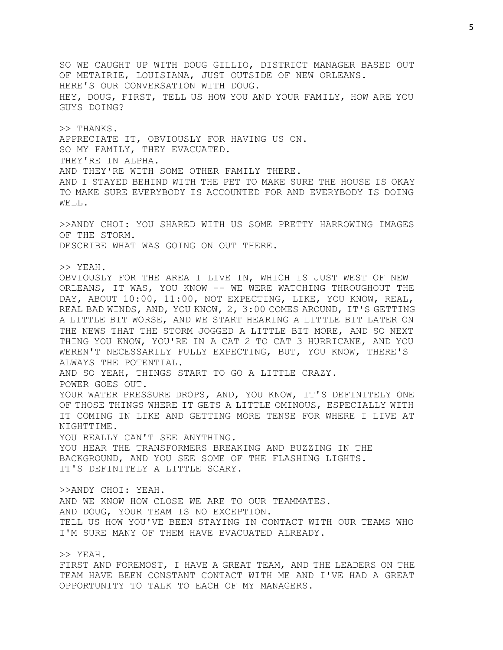SO WE CAUGHT UP WITH DOUG GILLIO, DISTRICT MANAGER BASED OUT OF METAIRIE, LOUISIANA, JUST OUTSIDE OF NEW ORLEANS. HERE'S OUR CONVERSATION WITH DOUG. HEY, DOUG, FIRST, TELL US HOW YOU AND YOUR FAMILY, HOW ARE YOU GUYS DOING?

>> THANKS. APPRECIATE IT, OBVIOUSLY FOR HAVING US ON. SO MY FAMILY, THEY EVACUATED. THEY'RE IN ALPHA. AND THEY'RE WITH SOME OTHER FAMILY THERE. AND I STAYED BEHIND WITH THE PET TO MAKE SURE THE HOUSE IS OKAY TO MAKE SURE EVERYBODY IS ACCOUNTED FOR AND EVERYBODY IS DOING WELL.

>>ANDY CHOI: YOU SHARED WITH US SOME PRETTY HARROWING IMAGES OF THE STORM. DESCRIBE WHAT WAS GOING ON OUT THERE.

>> YEAH. OBVIOUSLY FOR THE AREA I LIVE IN, WHICH IS JUST WEST OF NEW ORLEANS, IT WAS, YOU KNOW -- WE WERE WATCHING THROUGHOUT THE DAY, ABOUT 10:00, 11:00, NOT EXPECTING, LIKE, YOU KNOW, REAL, REAL BAD WINDS, AND, YOU KNOW, 2, 3:00 COMES AROUND, IT'S GETTING A LITTLE BIT WORSE, AND WE START HEARING A LITTLE BIT LATER ON THE NEWS THAT THE STORM JOGGED A LITTLE BIT MORE, AND SO NEXT THING YOU KNOW, YOU'RE IN A CAT 2 TO CAT 3 HURRICANE, AND YOU WEREN'T NECESSARILY FULLY EXPECTING, BUT, YOU KNOW, THERE'S ALWAYS THE POTENTIAL. AND SO YEAH, THINGS START TO GO A LITTLE CRAZY. POWER GOES OUT. YOUR WATER PRESSURE DROPS, AND, YOU KNOW, IT'S DEFINITELY ONE OF THOSE THINGS WHERE IT GETS A LITTLE OMINOUS, ESPECIALLY WITH IT COMING IN LIKE AND GETTING MORE TENSE FOR WHERE I LIVE AT NIGHTTIME. YOU REALLY CAN'T SEE ANYTHING. YOU HEAR THE TRANSFORMERS BREAKING AND BUZZING IN THE BACKGROUND, AND YOU SEE SOME OF THE FLASHING LIGHTS. IT'S DEFINITELY A LITTLE SCARY. >>ANDY CHOI: YEAH. AND WE KNOW HOW CLOSE WE ARE TO OUR TEAMMATES. AND DOUG, YOUR TEAM IS NO EXCEPTION. TELL US HOW YOU'VE BEEN STAYING IN CONTACT WITH OUR TEAMS WHO

>> YEAH. FIRST AND FOREMOST, I HAVE A GREAT TEAM, AND THE LEADERS ON THE TEAM HAVE BEEN CONSTANT CONTACT WITH ME AND I'VE HAD A GREAT OPPORTUNITY TO TALK TO EACH OF MY MANAGERS.

I'M SURE MANY OF THEM HAVE EVACUATED ALREADY.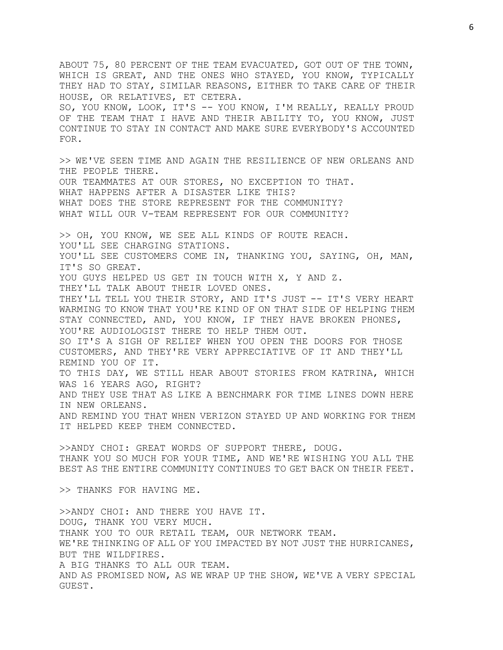ABOUT 75, 80 PERCENT OF THE TEAM EVACUATED, GOT OUT OF THE TOWN, WHICH IS GREAT, AND THE ONES WHO STAYED, YOU KNOW, TYPICALLY THEY HAD TO STAY, SIMILAR REASONS, EITHER TO TAKE CARE OF THEIR HOUSE, OR RELATIVES, ET CETERA. SO, YOU KNOW, LOOK, IT'S -- YOU KNOW, I'M REALLY, REALLY PROUD OF THE TEAM THAT I HAVE AND THEIR ABILITY TO, YOU KNOW, JUST CONTINUE TO STAY IN CONTACT AND MAKE SURE EVERYBODY'S ACCOUNTED FOR. >> WE'VE SEEN TIME AND AGAIN THE RESILIENCE OF NEW ORLEANS AND THE PEOPLE THERE. OUR TEAMMATES AT OUR STORES, NO EXCEPTION TO THAT. WHAT HAPPENS AFTER A DISASTER LIKE THIS? WHAT DOES THE STORE REPRESENT FOR THE COMMUNITY? WHAT WILL OUR V-TEAM REPRESENT FOR OUR COMMUNITY? >> OH, YOU KNOW, WE SEE ALL KINDS OF ROUTE REACH. YOU'LL SEE CHARGING STATIONS. YOU'LL SEE CUSTOMERS COME IN, THANKING YOU, SAYING, OH, MAN, IT'S SO GREAT. YOU GUYS HELPED US GET IN TOUCH WITH X, Y AND Z. THEY'LL TALK ABOUT THEIR LOVED ONES. THEY'LL TELL YOU THEIR STORY, AND IT'S JUST -- IT'S VERY HEART WARMING TO KNOW THAT YOU'RE KIND OF ON THAT SIDE OF HELPING THEM STAY CONNECTED, AND, YOU KNOW, IF THEY HAVE BROKEN PHONES, YOU'RE AUDIOLOGIST THERE TO HELP THEM OUT. SO IT'S A SIGH OF RELIEF WHEN YOU OPEN THE DOORS FOR THOSE CUSTOMERS, AND THEY'RE VERY APPRECIATIVE OF IT AND THEY'LL REMIND YOU OF IT. TO THIS DAY, WE STILL HEAR ABOUT STORIES FROM KATRINA, WHICH WAS 16 YEARS AGO, RIGHT? AND THEY USE THAT AS LIKE A BENCHMARK FOR TIME LINES DOWN HERE IN NEW ORLEANS. AND REMIND YOU THAT WHEN VERIZON STAYED UP AND WORKING FOR THEM IT HELPED KEEP THEM CONNECTED. >>ANDY CHOI: GREAT WORDS OF SUPPORT THERE, DOUG. THANK YOU SO MUCH FOR YOUR TIME, AND WE'RE WISHING YOU ALL THE BEST AS THE ENTIRE COMMUNITY CONTINUES TO GET BACK ON THEIR FEET. >> THANKS FOR HAVING ME. >>ANDY CHOI: AND THERE YOU HAVE IT. DOUG, THANK YOU VERY MUCH. THANK YOU TO OUR RETAIL TEAM, OUR NETWORK TEAM. WE'RE THINKING OF ALL OF YOU IMPACTED BY NOT JUST THE HURRICANES, BUT THE WILDFIRES. A BIG THANKS TO ALL OUR TEAM.

AND AS PROMISED NOW, AS WE WRAP UP THE SHOW, WE'VE A VERY SPECIAL GUEST.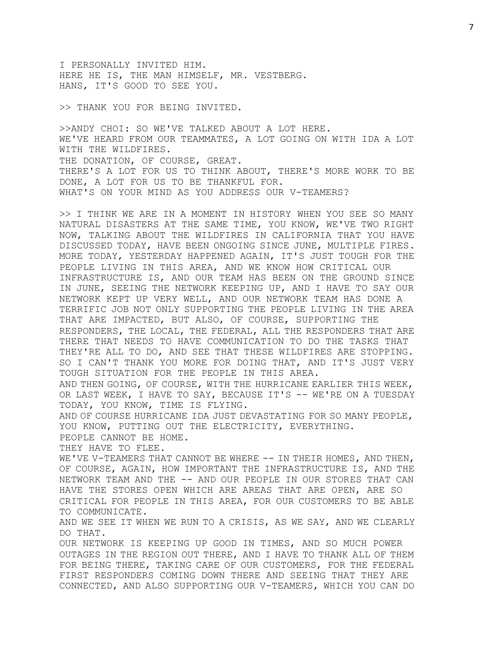I PERSONALLY INVITED HIM. HERE HE IS, THE MAN HIMSELF, MR. VESTBERG. HANS, IT'S GOOD TO SEE YOU.

>> THANK YOU FOR BEING INVITED.

>>ANDY CHOI: SO WE'VE TALKED ABOUT A LOT HERE. WE'VE HEARD FROM OUR TEAMMATES, A LOT GOING ON WITH IDA A LOT WITH THE WILDFIRES. THE DONATION, OF COURSE, GREAT. THERE'S A LOT FOR US TO THINK ABOUT, THERE'S MORE WORK TO BE DONE, A LOT FOR US TO BE THANKFUL FOR. WHAT'S ON YOUR MIND AS YOU ADDRESS OUR V-TEAMERS?

>> I THINK WE ARE IN A MOMENT IN HISTORY WHEN YOU SEE SO MANY NATURAL DISASTERS AT THE SAME TIME, YOU KNOW, WE'VE TWO RIGHT NOW, TALKING ABOUT THE WILDFIRES IN CALIFORNIA THAT YOU HAVE DISCUSSED TODAY, HAVE BEEN ONGOING SINCE JUNE, MULTIPLE FIRES. MORE TODAY, YESTERDAY HAPPENED AGAIN, IT'S JUST TOUGH FOR THE PEOPLE LIVING IN THIS AREA, AND WE KNOW HOW CRITICAL OUR INFRASTRUCTURE IS, AND OUR TEAM HAS BEEN ON THE GROUND SINCE IN JUNE, SEEING THE NETWORK KEEPING UP, AND I HAVE TO SAY OUR NETWORK KEPT UP VERY WELL, AND OUR NETWORK TEAM HAS DONE A TERRIFIC JOB NOT ONLY SUPPORTING THE PEOPLE LIVING IN THE AREA THAT ARE IMPACTED, BUT ALSO, OF COURSE, SUPPORTING THE RESPONDERS, THE LOCAL, THE FEDERAL, ALL THE RESPONDERS THAT ARE THERE THAT NEEDS TO HAVE COMMUNICATION TO DO THE TASKS THAT THEY'RE ALL TO DO, AND SEE THAT THESE WILDFIRES ARE STOPPING. SO I CAN'T THANK YOU MORE FOR DOING THAT, AND IT'S JUST VERY TOUGH SITUATION FOR THE PEOPLE IN THIS AREA. AND THEN GOING, OF COURSE, WITH THE HURRICANE EARLIER THIS WEEK, OR LAST WEEK, I HAVE TO SAY, BECAUSE IT'S -- WE'RE ON A TUESDAY TODAY, YOU KNOW, TIME IS FLYING. AND OF COURSE HURRICANE IDA JUST DEVASTATING FOR SO MANY PEOPLE, YOU KNOW, PUTTING OUT THE ELECTRICITY, EVERYTHING. PEOPLE CANNOT BE HOME. THEY HAVE TO FLEE. WE'VE V-TEAMERS THAT CANNOT BE WHERE -- IN THEIR HOMES, AND THEN, OF COURSE, AGAIN, HOW IMPORTANT THE INFRASTRUCTURE IS, AND THE NETWORK TEAM AND THE -- AND OUR PEOPLE IN OUR STORES THAT CAN HAVE THE STORES OPEN WHICH ARE AREAS THAT ARE OPEN, ARE SO CRITICAL FOR PEOPLE IN THIS AREA, FOR OUR CUSTOMERS TO BE ABLE TO COMMUNICATE. AND WE SEE IT WHEN WE RUN TO A CRISIS, AS WE SAY, AND WE CLEARLY DO THAT. OUR NETWORK IS KEEPING UP GOOD IN TIMES, AND SO MUCH POWER OUTAGES IN THE REGION OUT THERE, AND I HAVE TO THANK ALL OF THEM FOR BEING THERE, TAKING CARE OF OUR CUSTOMERS, FOR THE FEDERAL

FIRST RESPONDERS COMING DOWN THERE AND SEEING THAT THEY ARE CONNECTED, AND ALSO SUPPORTING OUR V-TEAMERS, WHICH YOU CAN DO